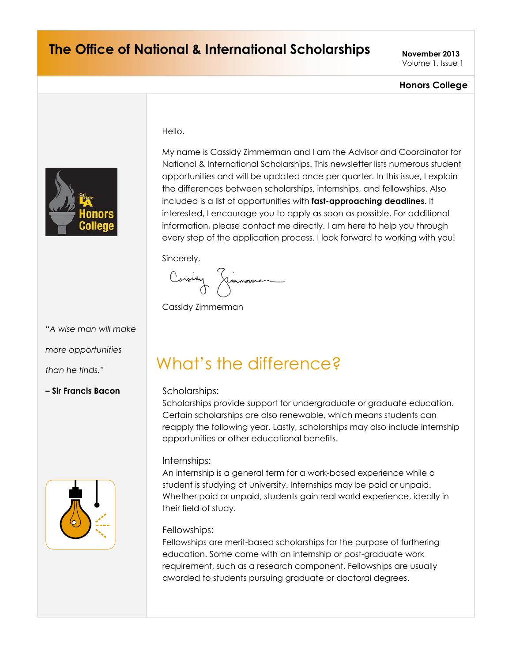### **The Office of National & International Scholarships**  $N_{\text{OVember }2013}$

Volume 1, Issue 1

### **Honors College**



My name is Cassidy Zimmerman and I am the Advisor and Coordinator for National & International Scholarships. This newsletter lists numerous student opportunities and will be updated once per quarter. In this issue, I explain the differences between scholarships, internships, and fellowships. Also included is a list of opportunities with **fast-approaching deadlines**. If interested, I encourage you to apply as soon as possible. For additional information, please contact me directly. I am here to help you through every step of the application process. I look forward to working with you!

Sincerely,

Hello,

Cassion Gimmonna

Cassidy Zimmerman

*"A wise man will make* 

*more opportunities* 

*than he finds."*

**– Sir Francis Bacon** Scholarships:



# What's the difference?

Scholarships provide support for undergraduate or graduate education. Certain scholarships are also renewable, which means students can reapply the following year. Lastly, scholarships may also include internship opportunities or other educational benefits.

#### Internships:

An internship is a general term for a work-based experience while a student is studying at university. Internships may be paid or unpaid. Whether paid or unpaid, students gain real world experience, ideally in their field of study.

### Fellowships:

Fellowships are merit-based scholarships for the purpose of furthering education. Some come with an internship or post-graduate work requirement, such as a research component. Fellowships are usually awarded to students pursuing graduate or doctoral degrees.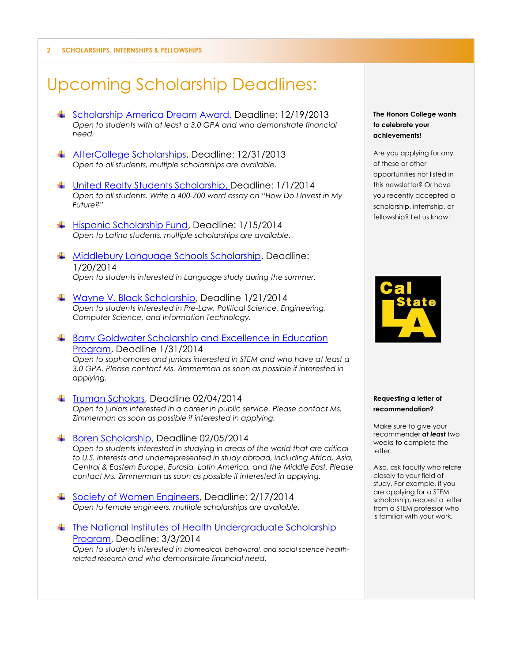**2 SCHOLARSHIPS, INTERNSHIPS & FELLOWSHIPS**

## Upcoming Scholarship Deadlines:

- [Scholarship America Dream Award,](http://www.scholarshipamerica.org/dream_criteria.php) Deadline: 12/19/2013 *Open to students with at least a 3.0 GPA and who demonstrate financial need.*
- [AfterCollege Scholarships,](http://www.aftercollege.com/content/scholarships) Deadline: 12/31/2013 *Open to all students, multiple scholarships are available.*
- [United Realty Students Scholarship,](http://www.urpa.com/scholarship.html) Deadline: 1/1/2014 *Open to all students. Write a 400-700 word essay on "How Do I Invest in My Future?"*
- ↓ [Hispanic Scholarship Fund,](http://hsf.net/en/scholarships/programs/) Deadline: 1/15/2014 *Open to Latino students, multiple scholarships are available.*
- [Middlebury Language Schools Scholarship,](http://www.middlebury.edu/ls/grad_programs/finaid/fellowships/hbcu) Deadline: 1/20/2014 *Open to students interested in Language study during the summer.*
- [Wayne V. Black Scholarship,](http://www.entelec.org/ENTELEC/About/WayneVBlackScholarship) Deadline 1/21/2014 *Open to students interested in Pre-Law, Political Science, Engineering, Computer Science, and Information Technology.*
- **E** Barry Goldwater Scholarship and Excellence in Education [Program,](http://www.entelec.org/ENTELEC/About/WayneVBlackScholarship) Deadline 1/31/2014 *Open to sophomores and juniors interested in STEM and who have at least a 3.0 GPA. Please contact Ms. Zimmerman as soon as possible if interested in applying.*
- $\ddot{\bullet}$  [Truman Scholars,](http://www.truman.gov/are-you-potential-truman-scholar/) Deadline 02/04/2014 *Open to juniors interested in a career in public service. Please contact Ms. Zimmerman as soon as possible if interested in applying.*
- [Boren Scholarship,](http://www.borenawards.org/boren_scholarship/basics.html) Deadline 02/05/2014 *Open to students interested in studying in areas of the world that are critical to U.S. interests and underrepresented in study abroad, including Africa, Asia, Central & Eastern Europe, Eurasia, Latin America, and the Middle East. Please contact Ms. Zimmerman as soon as possible if interested in applying.*
- [Society of Women Engineers,](http://societyofwomenengineers.swe.org/index.php/scholarships#activePanels_) Deadline: 2/17/2014 *Open to female engineers, multiple scholarships are available.*
- ↓ The National Institutes of Health Undergraduate Scholarship [Program,](https://www.training.nih.gov/programs/ugsp) Deadline: 3/3/2014 *Open to students interested in biomedical, behavioral, and social science healthrelated research and who demonstrate financial need.*

#### **The Honors College wants to celebrate your achievements!**

Are you applying for any of these or other opportunities not listed in this newsletter? Or have you recently accepted a scholarship, internship, or fellowship? Let us know!



#### **Requesting a letter of recommendation?**

Make sure to give your recommender *at least* two weeks to complete the letter.

Also, ask faculty who relate closely to your field of study. For example, if you are applying for a STEM scholarship, request a letter from a STEM professor who is familiar with your work.